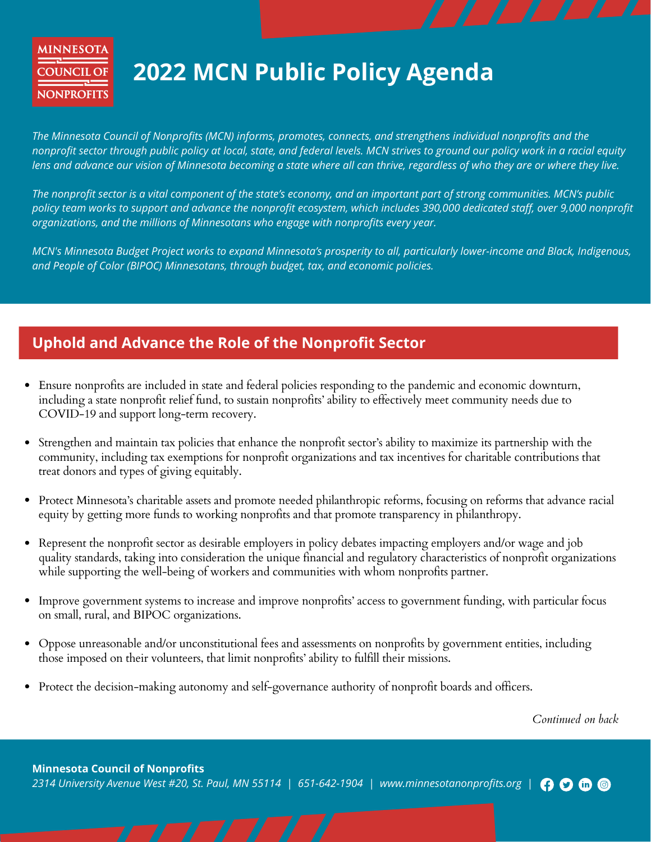### **MINNESOTA COUNCIL OF NONPROFITS**

## **2022 MCN Public Policy Agenda**

*The Minnesota Council of Nonprofits (MCN) informs, promotes, connects, and strengthens individual nonprofits and the* nonprofit sector through public policy at local, state, and federal levels. MCN strives to ground our policy work in a racial equity lens and advance our vision of Minnesota becoming a state where all can thrive, regardless of who they are or where they live.

The nonprofit sector is a vital component of the state's economy, and an important part of strong communities. MCN's public policy team works to support and advance the nonprofit ecosystem, which includes 390,000 dedicated staff, over 9,000 nonprofit *organizations, and the millions of Minnesotans who engage with nonprofits every year.*

MCN's Minnesota Budget Project works to expand Minnesota's prosperity to all, particularly lower-income and Black, Indigenous, *and People of Color (BIPOC) Minnesotans, through budget, tax, and economic policies.*

#### **Uphold and Advance the Role of the Nonprofit Sector**

- Ensure nonprofits are included in state and federal policies responding to the pandemic and economic downturn, including a state nonprofit relief fund, to sustain nonprofits' ability to effectively meet community needs due to COVID-19 and support long-term recovery.
- Strengthen and maintain tax policies that enhance the nonprofit sector's ability to maximize its partnership with the community, including tax exemptions for nonprofit organizations and tax incentives for charitable contributions that treat donors and types of giving equitably.
- Protect Minnesota's charitable assets and promote needed philanthropic reforms, focusing on reforms that advance racial equity by getting more funds to working nonprofits and that promote transparency in philanthropy.
- Represent the nonprofit sector as desirable employers in policy debates impacting employers and/or wage and job quality standards, taking into consideration the unique financial and regulatory characteristics of nonprofit organizations while supporting the well-being of workers and communities with whom nonprofits partner.
- Improve government systems to increase and improve nonprofits' access to government funding, with particular focus on small, rural, and BIPOC organizations.
- Oppose unreasonable and/or unconstitutional fees and assessments on nonprofits by government entities, including those imposed on their volunteers, that limit nonprofits' ability to fulfill their missions.
- Protect the decision-making autonomy and self-governance authority of nonprofit boards and officers.

*Continued on back*